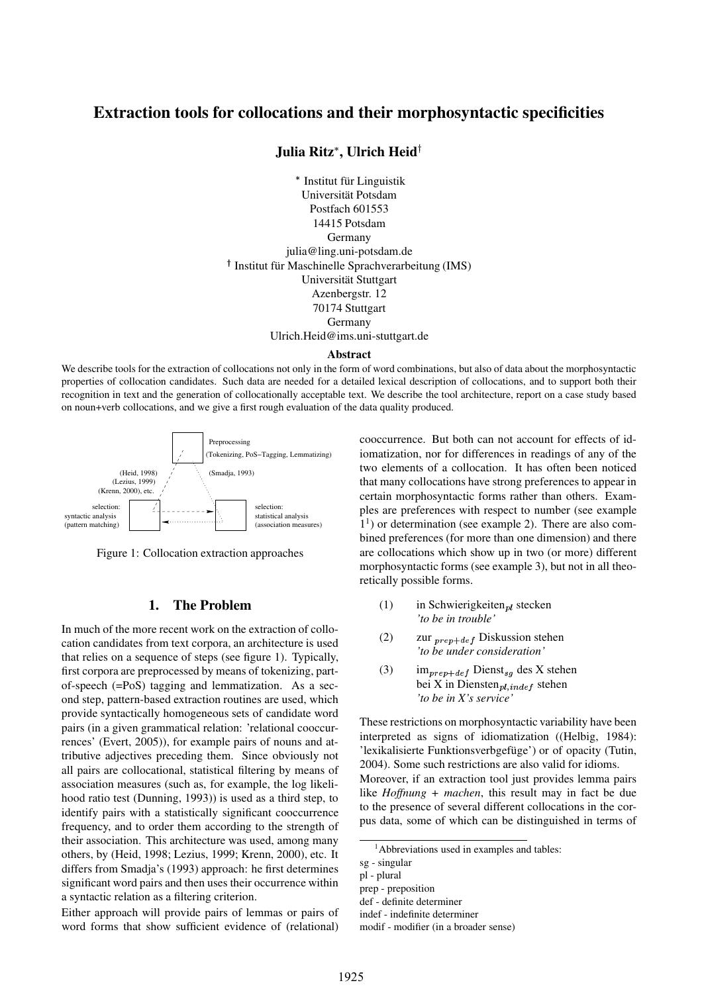# **Extraction tools for collocations and their morphosyntactic specificities**

# **Julia Ritz , Ulrich Heid**

- Institut für Linguistik Universität Potsdam Postfach 601553 14415 Potsdam Germany julia@ling.uni-potsdam.de <sup>†</sup> Institut für Maschinelle Sprachverarbeitung (IMS) Universität Stuttgart Azenbergstr. 12 70174 Stuttgart Germany Ulrich.Heid@ims.uni-stuttgart.de

#### **Abstract**

We describe tools for the extraction of collocations not only in the form of word combinations, but also of data about the morphosyntactic properties of collocation candidates. Such data are needed for a detailed lexical description of collocations, and to support both their recognition in text and the generation of collocationally acceptable text. We describe the tool architecture, report on a case study based on noun+verb collocations, and we give a first rough evaluation of the data quality produced.



Figure 1: Collocation extraction approaches

#### **1. The Problem**

In much of the more recent work on the extraction of collocation candidates from text corpora, an architecture is used that relies on a sequence of steps (see figure 1). Typically, first corpora are preprocessed by means of tokenizing, partof-speech (=PoS) tagging and lemmatization. As a second step, pattern-based extraction routines are used, which provide syntactically homogeneous sets of candidate word pairs (in a given grammatical relation: 'relational cooccurrences' (Evert, 2005)), for example pairs of nouns and attributive adjectives preceding them. Since obviously not all pairs are collocational, statistical filtering by means of association measures (such as, for example, the log likelihood ratio test (Dunning, 1993)) is used as a third step, to identify pairs with a statistically significant cooccurrence frequency, and to order them according to the strength of their association. This architecture was used, among many others, by (Heid, 1998; Lezius, 1999; Krenn, 2000), etc. It differs from Smadja's (1993) approach: he first determines significant word pairs and then uses their occurrence within a syntactic relation as a filtering criterion.

Either approach will provide pairs of lemmas or pairs of word forms that show sufficient evidence of (relational)

cooccurrence. But both can not account for effects of idiomatization, nor for differences in readings of any of the two elements of a collocation. It has often been noticed that many collocations have strong preferences to appear in certain morphosyntactic forms rather than others. Examples are preferences with respect to number (see example 1 1 ) or determination (see example 2). There are also combined preferences (for more than one dimension) and there are collocations which show up in two (or more) different morphosyntactic forms (see example 3), but not in all theoretically possible forms.

- (1) in Schwierigkeiten<sub>nl</sub> stecken *'to be in trouble'*
- (2) zur  $_{prep+def}$  Diskussion stehen *'to be under consideration'*
- (3) im<sub>prep+def</sub> Dienst<sub>sg</sub> des X stehen bei X in Diensten $_{pl,indef}$  stehen *'to be in X's service'*

These restrictions on morphosyntactic variability have been interpreted as signs of idiomatization ((Helbig, 1984): 'lexikalisierte Funktionsverbgefüge') or of opacity (Tutin, 2004). Some such restrictions are also valid for idioms. Moreover, if an extraction tool just provides lemma pairs like *Hoffnung + machen*, this result may in fact be due to the presence of several different collocations in the corpus data, some of which can be distinguished in terms of

<sup>&</sup>lt;sup>1</sup>Abbreviations used in examples and tables:

sg - singular

pl - plural

prep - preposition

def - definite determiner

indef - indefinite determiner

modif - modifier (in a broader sense)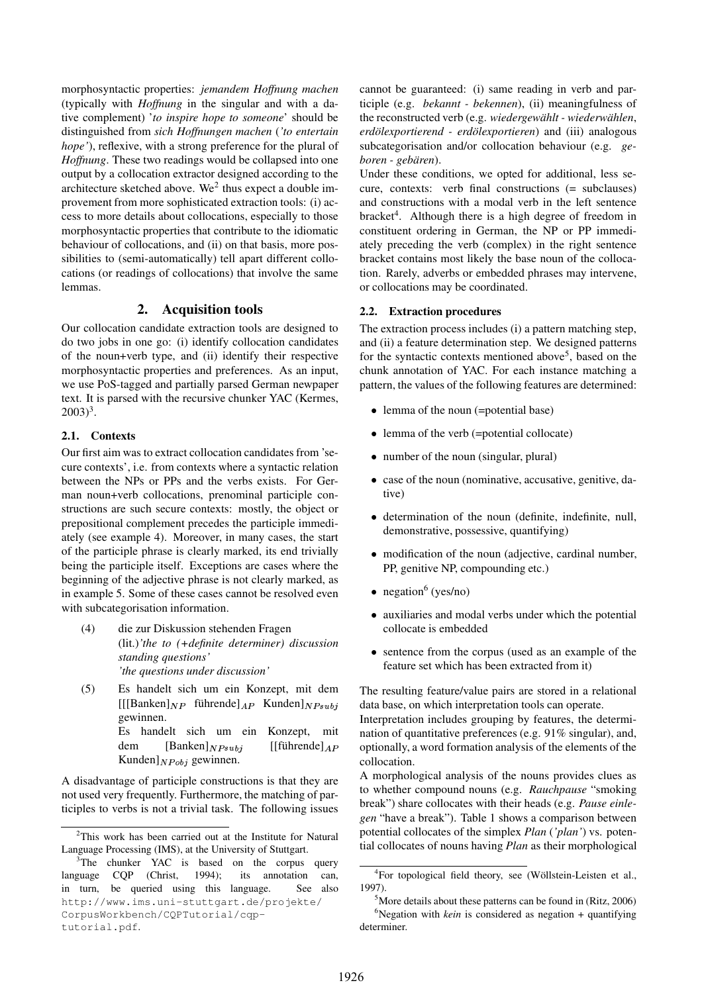morphosyntactic properties: *jemandem Hoffnung machen* (typically with *Hoffnung* in the singular and with a dative complement) '*to inspire hope to someone*' should be distinguished from *sich Hoffnungen machen* (*'to entertain hope'*), reflexive, with a strong preference for the plural of *Hoffnung*. These two readings would be collapsed into one output by a collocation extractor designed according to the architecture sketched above. We<sup>2</sup> thus expect a double improvement from more sophisticated extraction tools: (i) access to more details about collocations, especially to those morphosyntactic properties that contribute to the idiomatic behaviour of collocations, and (ii) on that basis, more possibilities to (semi-automatically) tell apart different collocations (or readings of collocations) that involve the same lemmas.

## **2. Acquisition tools**

Our collocation candidate extraction tools are designed to do two jobs in one go: (i) identify collocation candidates of the noun+verb type, and (ii) identify their respective morphosyntactic properties and preferences. As an input, we use PoS-tagged and partially parsed German newpaper text. It is parsed with the recursive chunker YAC (Kermes,  $2003)^3$ .

### **2.1. Contexts**

Our first aim was to extract collocation candidates from 'secure contexts', i.e. from contexts where a syntactic relation between the NPs or PPs and the verbs exists. For German noun+verb collocations, prenominal participle constructions are such secure contexts: mostly, the object or prepositional complement precedes the participle immediately (see example 4). Moreover, in many cases, the start of the participle phrase is clearly marked, its end trivially being the participle itself. Exceptions are cases where the beginning of the adjective phrase is not clearly marked, as in example 5. Some of these cases cannot be resolved even with subcategorisation information.

- (4) die zur Diskussion stehenden Fragen (lit.)*'the to (+definite determiner) discussion standing questions' 'the questions under discussion'*
- (5) Es handelt sich um ein Konzept, mit dem  $[[[Banken]_{NP}$  führende] $_{AP}$  Kunden] $_{NPsubi}$ gewinnen. Es handelt sich um ein Konzept, mit dem  $[Banken]_{NPsubj}$  [[führende] $_{AP}$ Kunden] $_{NPobj}$  gewinnen.

A disadvantage of participle constructions is that they are not used very frequently. Furthermore, the matching of participles to verbs is not a trivial task. The following issues cannot be guaranteed: (i) same reading in verb and participle (e.g. *bekannt - bekennen*), (ii) meaningfulness of the reconstructed verb (e.g. *wiedergewählt - wiederwählen*, *erdölexportierend - erdölexportieren*) and (iii) analogous subcategorisation and/or collocation behaviour (e.g. *geboren - gebären*).

Under these conditions, we opted for additional, less secure, contexts: verb final constructions (= subclauses) and constructions with a modal verb in the left sentence bracket<sup>4</sup>. Although there is a high degree of freedom in constituent ordering in German, the NP or PP immediately preceding the verb (complex) in the right sentence bracket contains most likely the base noun of the collocation. Rarely, adverbs or embedded phrases may intervene, or collocations may be coordinated.

### **2.2. Extraction procedures**

The extraction process includes (i) a pattern matching step, and (ii) a feature determination step. We designed patterns for the syntactic contexts mentioned above 5 , based on the chunk annotation of YAC. For each instance matching a pattern, the values of the following features are determined:

- . lemma of the noun (=potential base)
- . lemma of the verb (=potential collocate)
- . number of the noun (singular, plural)
- . case of the noun (nominative, accusative, genitive, dative)
- . determination of the noun (definite, indefinite, null, demonstrative, possessive, quantifying)
- . modification of the noun (adjective, cardinal number, PP, genitive NP, compounding etc.)
- negation<sup>6</sup> (yes/no)
- . auxiliaries and modal verbs under which the potential collocate is embedded
- . sentence from the corpus (used as an example of the feature set which has been extracted from it)

The resulting feature/value pairs are stored in a relational data base, on which interpretation tools can operate.

Interpretation includes grouping by features, the determination of quantitative preferences (e.g. 91% singular), and, optionally, a word formation analysis of the elements of the collocation.

A morphological analysis of the nouns provides clues as to whether compound nouns (e.g. *Rauchpause* "smoking break") share collocates with their heads (e.g. *Pause einlegen* "have a break"). Table 1 shows a comparison between potential collocates of the simplex *Plan* (*'plan'*) vs. potential collocates of nouns having *Plan* as their morphological

<sup>&</sup>lt;sup>2</sup>This work has been carried out at the Institute for Natural Language Processing (IMS), at the University of Stuttgart.

<sup>&</sup>lt;sup>3</sup>The chunker YAC is based on the corpus query language CQP (Christ, 1994); its annotation can, in turn, be queried using this language. See also http://www.ims.uni-stuttgart.de/projekte/ CorpusWorkbench/CQPTutorial/cqptutorial.pdf.

<sup>&</sup>lt;sup>4</sup>For topological field theory, see (Wöllstein-Leisten et al., 1997).

 $5$ More details about these patterns can be found in (Ritz, 2006)  $6$ Negation with *kein* is considered as negation  $+$  quantifying determiner.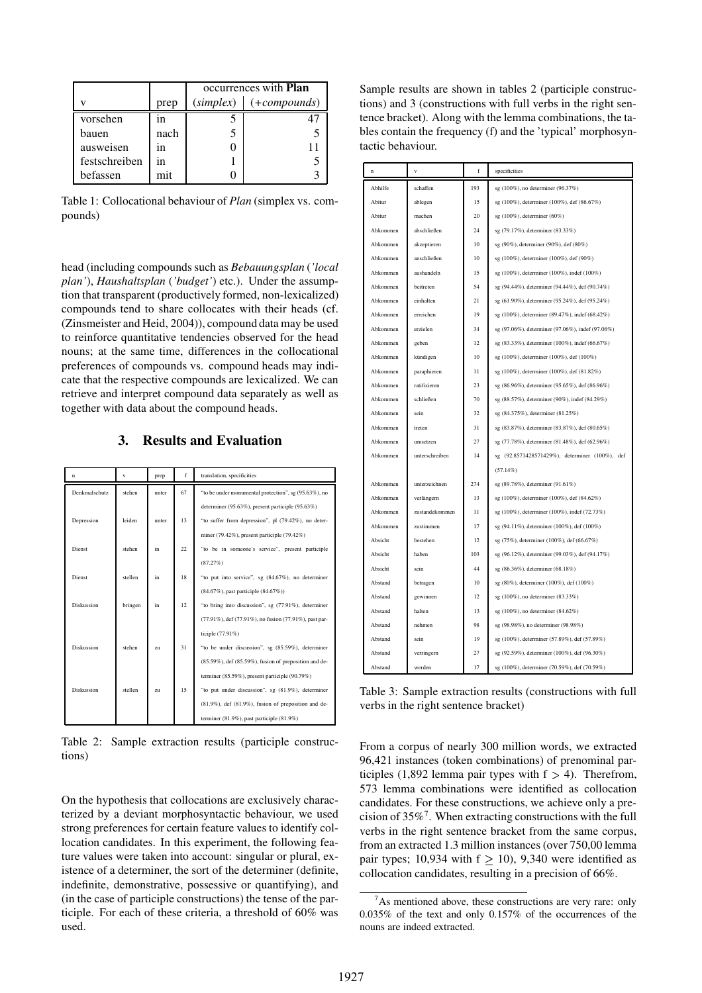|               |      | occurrences with <b>Plan</b> |                         |  |  |
|---------------|------|------------------------------|-------------------------|--|--|
|               | prep | (simplex)                    | $(+\textit{compounds})$ |  |  |
| vorsehen      | 1n   |                              | 41                      |  |  |
| bauen         | nach |                              |                         |  |  |
| ausweisen     | 1n   |                              |                         |  |  |
| festschreiben | in   |                              |                         |  |  |
| befassen      | mit  |                              |                         |  |  |

Table 1: Collocational behaviour of *Plan* (simplex vs. compounds)

head (including compounds such as *Bebauungsplan* (*'local plan'*), *Haushaltsplan* (*'budget'*) etc.). Under the assumption that transparent (productively formed, non-lexicalized) compounds tend to share collocates with their heads (cf. (Zinsmeister and Heid, 2004)), compound data may be used to reinforce quantitative tendencies observed for the head nouns; at the same time, differences in the collocational preferences of compounds vs. compound heads may indicate that the respective compounds are lexicalized. We can retrieve and interpret compound data separately as well as together with data about the compound heads.

# **3. Results and Evaluation**

| n             | v       | prep  | f  | translation, specificities                                    |
|---------------|---------|-------|----|---------------------------------------------------------------|
| Denkmalschutz | stehen  | unter | 67 | "to be under monumental protection", sg (95.63%), no          |
|               |         |       |    | determiner (95.63%), present participle (95.63%)              |
| Depression    | leiden  | unter | 13 | "to suffer from depression", pl (79.42%), no deter-           |
|               |         |       |    | miner $(79.42\%)$ , present participle $(79.42\%)$            |
| Dienst        | stehen  | in    | 22 | "to be in someone's service", present participle              |
|               |         |       |    | (87.27%)                                                      |
| Dienst        | stellen | in    | 18 | "to put into service", sg (84.67%), no determiner             |
|               |         |       |    | (84.67%), past participle (84.67%))                           |
| Diskussion    | bringen | in    | 12 | "to bring into discussion", sg (77.91%), determiner           |
|               |         |       |    | (77.91%), def (77.91%), no fusion (77.91%), past par-         |
|               |         |       |    | ticiple (77.91%)                                              |
| Diskussion    | stehen  | zu    | 31 | "to be under discussion", sg (85.59%), determiner             |
|               |         |       |    | $(85.59\%)$ , def $(85.59\%)$ , fusion of preposition and de- |
|               |         |       |    | terminer (85.59%), present participle (90.79%)                |
| Diskussion    | stellen | zu    | 15 | "to put under discussion", sg (81.9%), determiner             |
|               |         |       |    | $(81.9\%)$ , def $(81.9\%)$ , fusion of preposition and de-   |
|               |         |       |    | terminer $(81.9\%)$ , past participle $(81.9\%)$              |

Table 2: Sample extraction results (participle constructions)

On the hypothesis that collocations are exclusively characterized by a deviant morphosyntactic behaviour, we used strong preferences for certain feature values to identify collocation candidates. In this experiment, the following feature values were taken into account: singular or plural, existence of a determiner, the sort of the determiner (definite, indefinite, demonstrative, possessive or quantifying), and (in the case of participle constructions) the tense of the participle. For each of these criteria, a threshold of 60% was used.

Sample results are shown in tables 2 (participle constructions) and 3 (constructions with full verbs in the right sentence bracket). Along with the lemma combinations, the tables contain the frequency (f) and the 'typical' morphosyntactic behaviour.

| n        | $\mathbf{v}$   | f   | specificities                                    |  |  |
|----------|----------------|-----|--------------------------------------------------|--|--|
| Abhilfe  | schaffen       | 193 | sg (100%), no determiner (96.37%)                |  |  |
| Abitur   | ablegen        | 15  | sg (100%), determiner (100%), def (86.67%)       |  |  |
| Abitur   | machen         | 20  | sg (100%), determiner (60%)                      |  |  |
| Abkommen | abschließen    | 24  | sg (79.17%), determiner (83.33%)                 |  |  |
| Abkommen | akzeptieren    | 10  | sg (90%), determiner (90%), def (80%)            |  |  |
| Abkommen | anschließen    | 10  | sg (100%), determiner (100%), def (90%)          |  |  |
| Abkommen | aushandeln     | 15  | sg (100%), determiner (100%), indef (100%)       |  |  |
| Abkommen | beitreten      | 54  | sg (94.44%), determiner (94.44%), def (90.74%)   |  |  |
| Abkommen | einhalten      | 21  | sg (61.90%), determiner (95.24%), def (95.24%)   |  |  |
| Abkommen | erreichen      | 19  | sg (100%), determiner (89.47%), indef (68.42%)   |  |  |
| Abkommen | erzielen       | 34  | sg (97.06%), determiner (97.06%), indef (97.06%) |  |  |
| Abkommen | geben          | 12  | sg (83.33%), determiner (100%), indef (66.67%)   |  |  |
| Abkommen | kündigen       | 10  | sg (100%), determiner (100%), def (100%)         |  |  |
| Abkommen | paraphieren    | 11  | sg (100%), determiner (100%), def (81.82%)       |  |  |
| Abkommen | ratifizieren   | 23  | sg (86.96%), determiner (95.65%), def (86.96%)   |  |  |
| Abkommen | schließen      | 70  | sg (88.57%), determiner (90%), indef (84.29%)    |  |  |
| Abkommen | sein           | 32  | sg (84.375%), determiner (81.25%)                |  |  |
| Abkommen | treten         | 31  | sg (83.87%), determiner (83.87%), def (80.65%)   |  |  |
| Abkommen | umsetzen       | 27  | sg (77.78%), determiner (81.48%), def (62.96%)   |  |  |
| Abkommen | unterschreiben | 14  | sg (92.8571428571429%), determiner (100%), def   |  |  |
|          |                |     | (57.14%)                                         |  |  |
| Abkommen | unterzeichnen  | 274 | sg (89.78%), determiner (91.61%)                 |  |  |
| Abkommen | verlängern     | 13  | sg (100%), determiner (100%), def (84.62%)       |  |  |
| Abkommen | zustandekommen | 11  | sg (100%), determiner (100%), indef (72.73%)     |  |  |
| Abkommen | zustimmen      | 17  | sg (94.11%), determiner (100%), def (100%)       |  |  |
| Absicht  | bestehen       | 12  | sg (75%), determiner (100%), def (66.67%)        |  |  |
| Absicht  | haben          | 103 | sg (96.12%), determiner (99.03%), def (94.17%)   |  |  |
| Absicht  | sein           | 44  | sg (86.36%), determiner (68.18%)                 |  |  |
| Abstand  | betragen       | 10  | sg (80%), determiner (100%), def (100%)          |  |  |
| Abstand  | gewinnen       | 12  | sg (100%), no determiner (83.33%)                |  |  |
| Abstand  | halten         | 13  | sg (100%), no determiner (84.62%)                |  |  |
| Abstand  | nehmen         | 98  | sg (98.98%), no determiner (98.98%)              |  |  |
| Abstand  | sein           | 19  | sg (100%), determiner (57.89%), def (57.89%)     |  |  |
| Abstand  | verringern     | 27  | sg (92.59%), determiner (100%), def (96.30%)     |  |  |
| Abstand  | werden         | 17  | sg (100%), determiner (70.59%), def (70.59%)     |  |  |

Table 3: Sample extraction results (constructions with full verbs in the right sentence bracket)

From a corpus of nearly 300 million words, we extracted 96,421 instances (token combinations) of prenominal participles (1,892 lemma pair types with  $f > 4$ ). Therefrom, 573 lemma combinations were identified as collocation candidates. For these constructions, we achieve only a precision of  $35\%$ <sup>7</sup>. When extracting constructions with the full verbs in the right sentence bracket from the same corpus, from an extracted 1.3 million instances (over 750,00 lemma pair types; 10,934 with  $f > 10$ ), 9,340 were identified as collocation candidates, resulting in a precision of 66%.

 $7A$ s mentioned above, these constructions are very rare: only 0.035% of the text and only 0.157% of the occurrences of the nouns are indeed extracted.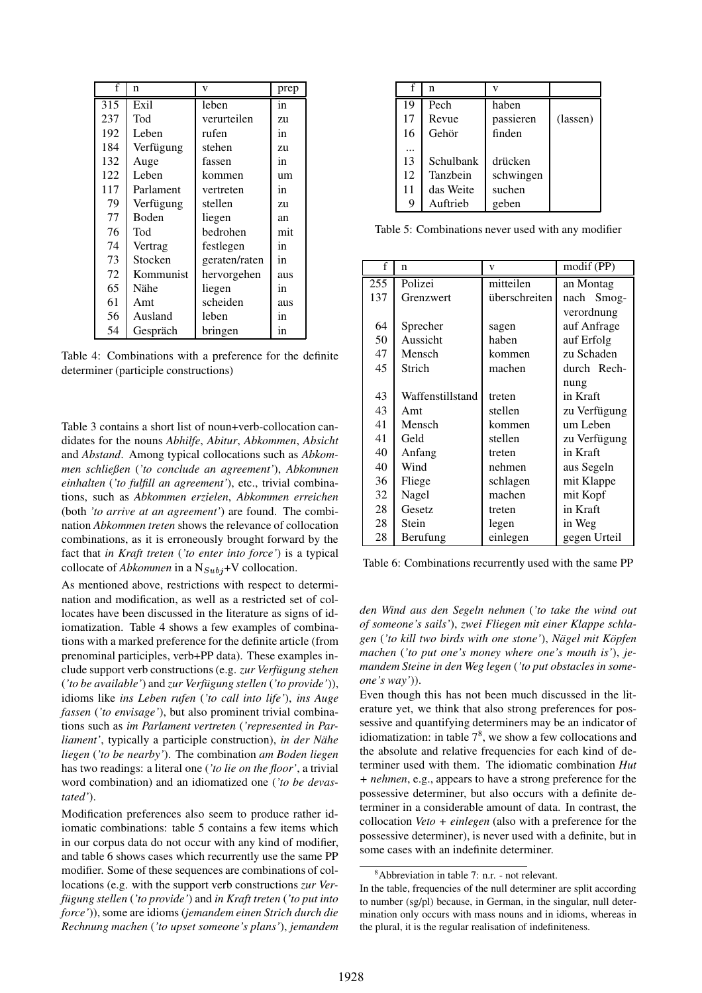| f   | n            | V             | prep |
|-----|--------------|---------------|------|
| 315 | Exil         | leben         | in   |
| 237 | Tod          | verurteilen   | zu   |
| 192 | Leben        | rufen         | in   |
| 184 | Verfügung    | stehen        | zu   |
| 132 | Auge         | fassen        | in   |
| 122 | Leben        | kommen        | um   |
| 117 | Parlament    | vertreten     | in   |
| 79  | Verfügung    | stellen       | zu   |
| 77  | <b>Boden</b> | liegen        | an   |
| 76  | Tod          | bedrohen      | mit  |
| 74  | Vertrag      | festlegen     | in   |
| 73  | Stocken      | geraten/raten | in   |
| 72  | Kommunist    | hervorgehen   | aus  |
| 65  | Nähe         | liegen        | in   |
| 61  | Amt          | scheiden      | aus  |
| 56  | Ausland      | leben         | in   |
| 54  | Gespräch     | bringen       | in   |

Table 4: Combinations with a preference for the definite determiner (participle constructions)

Table 3 contains a short list of noun+verb-collocation candidates for the nouns *Abhilfe*, *Abitur*, *Abkommen*, *Absicht* and *Abstand*. Among typical collocations such as *Abkommen schließen* (*'to conclude an agreement'*), *Abkommen einhalten* (*'to fulfill an agreement'*), etc., trivial combinations, such as *Abkommen erzielen*, *Abkommen erreichen* (both *'to arrive at an agreement'*) are found. The combination *Abkommen treten* shows the relevance of collocation combinations, as it is erroneously brought forward by the fact that *in Kraft treten* (*'to enter into force'*) is a typical collocate of *Abkommen* in a  $N_{Subj}$ +V collocation.

As mentioned above, restrictions with respect to determination and modification, as well as a restricted set of collocates have been discussed in the literature as signs of idiomatization. Table 4 shows a few examples of combinations with a marked preference for the definite article (from prenominal participles, verb+PP data). These examples include support verb constructions (e.g. *zur Verfügung stehen* (*'to be available'*) and *zur Verfügung stellen* (*'to provide'*)), idioms like *ins Leben rufen* (*'to call into life'*), *ins Auge fassen* (*'to envisage'*), but also prominent trivial combinations such as *im Parlament vertreten* (*'represented in Parliament'*, typically a participle construction), *in der Nähe liegen* (*'to be nearby'*). The combination *am Boden liegen* has two readings: a literal one (*'to lie on the floor'*, a trivial word combination) and an idiomatized one (*'to be devastated'*).

Modification preferences also seem to produce rather idiomatic combinations: table 5 contains a few items which in our corpus data do not occur with any kind of modifier, and table 6 shows cases which recurrently use the same PP modifier. Some of these sequences are combinations of collocations (e.g. with the support verb constructions *zur Verfügung stellen* (*'to provide'*) and *in Kraft treten* (*'to put into force'*)), some are idioms (*jemandem einen Strich durch die Rechnung machen* (*'to upset someone's plans'*), *jemandem*

|    | n         |           |          |
|----|-----------|-----------|----------|
| 19 | Pech      | haben     |          |
| 17 | Revue     | passieren | (lassen) |
| 16 | Gehör     | finden    |          |
|    |           |           |          |
| 13 | Schulbank | drücken   |          |
| 12 | Tanzbein  | schwingen |          |
| 11 | das Weite | suchen    |          |
| 9  | Auftrieb  | geben     |          |

Table 5: Combinations never used with any modifier

| f   | n                | v             | modif (PP)   |  |
|-----|------------------|---------------|--------------|--|
| 255 | Polizei          | mitteilen     | an Montag    |  |
| 137 | Grenzwert        | überschreiten | nach Smog-   |  |
|     |                  |               | verordnung   |  |
| 64  | Sprecher         | sagen         | auf Anfrage  |  |
| 50  | Aussicht         | haben         | auf Erfolg   |  |
| 47  | Mensch           | kommen        | zu Schaden   |  |
| 45  | Strich           | machen        | durch Rech-  |  |
|     |                  |               | nung         |  |
| 43  | Waffenstillstand | treten        | in Kraft     |  |
| 43  | Amt              | stellen       | zu Verfügung |  |
| 41  | Mensch           | kommen        | um Leben     |  |
| 41  | Geld             | stellen       | zu Verfügung |  |
| 40  | Anfang           | treten        | in Kraft     |  |
| 40  | Wind             | nehmen        | aus Segeln   |  |
| 36  | Fliege           | schlagen      | mit Klappe   |  |
| 32  | Nagel            | machen        | mit Kopf     |  |
| 28  | Gesetz           | treten        | in Kraft     |  |
| 28  | Stein            | legen         | in Weg       |  |
| 28  | Berufung         | einlegen      | gegen Urteil |  |

Table 6: Combinations recurrently used with the same PP

*den Wind aus den Segeln nehmen* (*'to take the wind out of someone's sails'*), *zwei Fliegen mit einer Klappe schlagen* (*'to kill two birds with one stone'*), *Nägel mit Köpfen machen* (*'to put one's money where one's mouth is'*), *jemandem Steine in den Weg legen* (*'to put obstacles in someone's way'*)).

Even though this has not been much discussed in the literature yet, we think that also strong preferences for possessive and quantifying determiners may be an indicator of idiomatization: in table  $7<sup>8</sup>$ , we show a few collocations and the absolute and relative frequencies for each kind of determiner used with them. The idiomatic combination *Hut + nehmen*, e.g., appears to have a strong preference for the possessive determiner, but also occurs with a definite determiner in a considerable amount of data. In contrast, the collocation *Veto + einlegen* (also with a preference for the possessive determiner), is never used with a definite, but in some cases with an indefinite determiner.

<sup>8</sup>Abbreviation in table 7: n.r. - not relevant.

In the table, frequencies of the null determiner are split according to number (sg/pl) because, in German, in the singular, null determination only occurs with mass nouns and in idioms, whereas in the plural, it is the regular realisation of indefiniteness.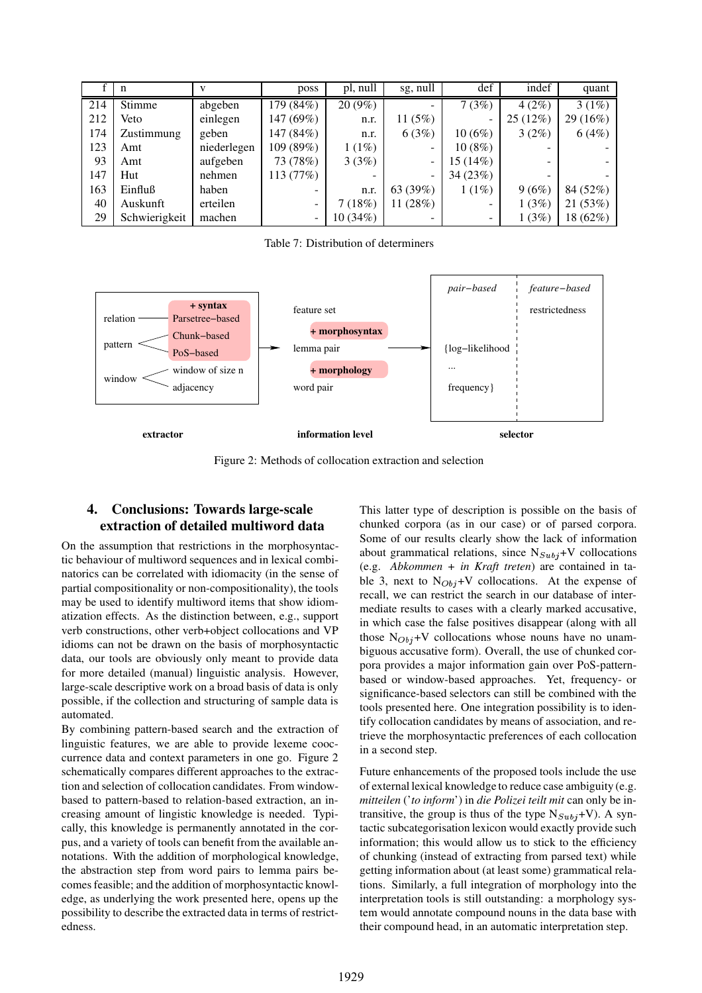|     | n             |             | poss      | pl, null | sg, null  | def      | indef   | quant    |
|-----|---------------|-------------|-----------|----------|-----------|----------|---------|----------|
| 214 | Stimme        | abgeben     | 179 (84%) | 20 (9%)  |           | 7(3%)    | 4(2%)   | 3(1%)    |
| 212 | Veto          | einlegen    | 147 (69%) | n.r.     | 11 $(5%)$ |          | 25(12%) | 29 (16%) |
| 174 | Zustimmung    | geben       | 147 (84%) | n.r.     | 6(3%)     | 10(6%)   | 3(2%)   | 6(4%)    |
| 123 | Amt           | niederlegen | 109 (89%) | 1(1%)    |           | 10(8%)   |         |          |
| 93  | Amt           | aufgeben    | 73 (78%)  | 3(3%)    | -         | 15 (14%) | -       |          |
| 147 | Hut           | nehmen      | 113 (77%) |          | ۰         | 34(23%)  |         |          |
| 163 | Einfluß       | haben       |           | n.r.     | 63 (39%)  | 1(1%)    | 9(6%)   | 84 (52%) |
| 40  | Auskunft      | erteilen    |           | 7(18%)   | 11(28%)   |          | 1(3%)   | 21 (53%) |
| 29  | Schwierigkeit | machen      |           | 10(34%)  |           |          | 1(3%)   | 18 (62%) |

Table 7: Distribution of determiners



Figure 2: Methods of collocation extraction and selection

## **4. Conclusions: Towards large-scale extraction of detailed multiword data**

On the assumption that restrictions in the morphosyntactic behaviour of multiword sequences and in lexical combinatorics can be correlated with idiomacity (in the sense of partial compositionality or non-compositionality), the tools may be used to identify multiword items that show idiomatization effects. As the distinction between, e.g., support verb constructions, other verb+object collocations and VP idioms can not be drawn on the basis of morphosyntactic data, our tools are obviously only meant to provide data for more detailed (manual) linguistic analysis. However, large-scale descriptive work on a broad basis of data is only possible, if the collection and structuring of sample data is automated.

By combining pattern-based search and the extraction of linguistic features, we are able to provide lexeme cooccurrence data and context parameters in one go. Figure 2 schematically compares different approaches to the extraction and selection of collocation candidates. From windowbased to pattern-based to relation-based extraction, an increasing amount of lingistic knowledge is needed. Typically, this knowledge is permanently annotated in the corpus, and a variety of tools can benefit from the available annotations. With the addition of morphological knowledge, the abstraction step from word pairs to lemma pairs becomesfeasible; and the addition of morphosyntactic knowledge, as underlying the work presented here, opens up the possibility to describe the extracted data in terms of restrictedness.

This latter type of description is possible on the basis of chunked corpora (as in our case) or of parsed corpora. Some of our results clearly show the lack of information about grammatical relations, since  $N_{Subi}+V$  collocations (e.g. *Abkommen + in Kraft treten*) are contained in table 3, next to  $N_{Obj}+V$  collocations. At the expense of recall, we can restrict the search in our database of intermediate results to cases with a clearly marked accusative, in which case the false positives disappear (along with all those  $N_{Obj}+V$  collocations whose nouns have no unambiguous accusative form). Overall, the use of chunked corpora provides a major information gain over PoS-patternbased or window-based approaches. Yet, frequency- or significance-based selectors can still be combined with the tools presented here. One integration possibility is to identify collocation candidates by means of association, and retrieve the morphosyntactic preferences of each collocation in a second step.

Future enhancements of the proposed tools include the use of external lexical knowledge to reduce case ambiguity (e.g. *mitteilen* ('*to inform*') in *die Polizei teilt mit* can only be intransitive, the group is thus of the type  $N_{Subj}+V$ ). A syntactic subcategorisation lexicon would exactly provide such information; this would allow us to stick to the efficiency of chunking (instead of extracting from parsed text) while getting information about (at least some) grammatical relations. Similarly, a full integration of morphology into the interpretation tools is still outstanding: a morphology system would annotate compound nouns in the data base with their compound head, in an automatic interpretation step.